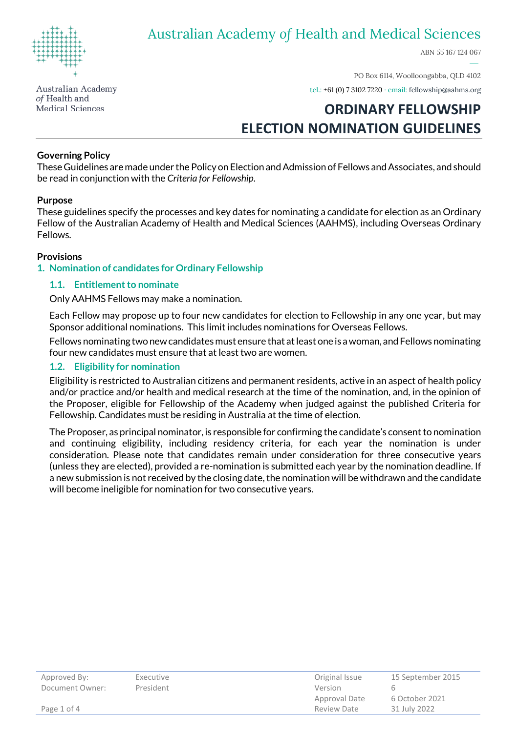

ABN 55 167 124 067

Australian Academy of Health and **Medical Sciences** 

PO Box 6114, Woolloongabba, QLD 4102

tel.: +61 (0) 7 3102 7220 · email[: fellowship@aahms.org](mailto:fellowship@aahms.org)

# **ORDINARY FELLOWSHIP ELECTION NOMINATION GUIDELINES**

### **Governing Policy**

These Guidelines are made under the Policy on Election and Admission of Fellows and Associates, and should be read in conjunction with the *Criteria for Fellowship*.

### **Purpose**

These guidelines specify the processes and key dates for nominating a candidate for election as an Ordinary Fellow of the Australian Academy of Health and Medical Sciences (AAHMS), including Overseas Ordinary Fellows.

#### **Provisions**

#### **1. Nomination of candidates for Ordinary Fellowship**

#### **1.1. Entitlement to nominate**

Only AAHMS Fellows may make a nomination.

Each Fellow may propose up to four new candidates for election to Fellowship in any one year, but may Sponsor additional nominations. This limit includes nominations for Overseas Fellows.

Fellows nominating two new candidates must ensure that at least one is a woman, and Fellows nominating four new candidates must ensure that at least two are women.

### **1.2. Eligibility for nomination**

Eligibility is restricted to Australian citizens and permanent residents, active in an aspect of health policy and/or practice and/or health and medical research at the time of the nomination, and, in the opinion of the Proposer, eligible for Fellowship of the Academy when judged against the published Criteria for Fellowship. Candidates must be residing in Australia at the time of election.

The Proposer, as principal nominator, is responsible for confirming the candidate's consent to nomination and continuing eligibility, including residency criteria, for each year the nomination is under consideration. Please note that candidates remain under consideration for three consecutive years (unless they are elected), provided a re-nomination is submitted each year by the nomination deadline. If a new submission is not received by the closing date, the nomination will be withdrawn and the candidate will become ineligible for nomination for two consecutive years.

| Approved By:<br>Document Owner: | Executive<br>President | Original Issue<br>Version | 15 September 2015 |
|---------------------------------|------------------------|---------------------------|-------------------|
|                                 |                        | Approval Date             | 6 October 2021    |
| Page 1 of 4                     |                        | Review Date               | 31 July 2022      |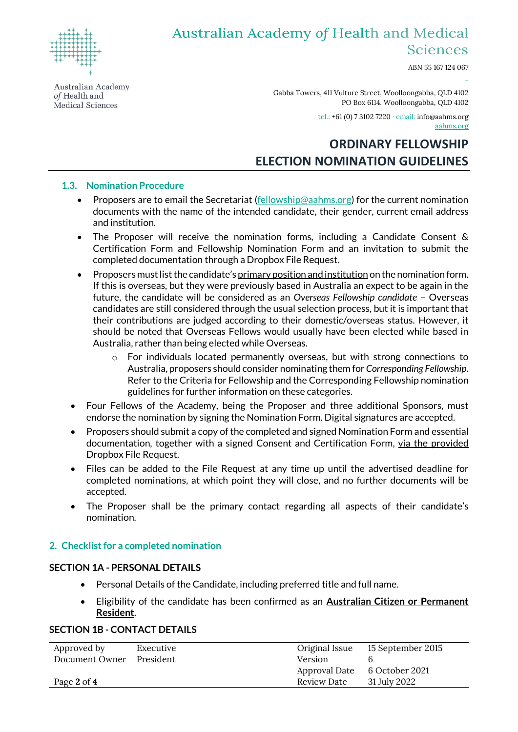

ABN 55 167 124 067

Australian Academy of Health and Medical Sciences

Gabba Towers, 411 Vulture Street, Woolloongabba, QLD 4102 PO Box 6114, Woolloongabba, QLD 4102

tel.: +61 (0) 7 3102 7220 · email[: info@aahms.org](mailto:info@aahms.org)

aahms.org

−

## **ORDINARY FELLOWSHIP ELECTION NOMINATION GUIDELINES**

### **1.3. Nomination Procedure**

- Proposers are to email the Secretariat [\(fellowship@aahms.org\)](mailto:fellowship@aahms.org?subject=New%20Fellowship%20Nomination) for the current nomination documents with the name of the intended candidate, their gender, current email address and institution.
- The Proposer will receive the nomination forms, including a Candidate Consent & Certification Form and Fellowship Nomination Form and an invitation to submit the completed documentation through a Dropbox File Request.
- Proposers must list the candidate's primary position and institution on the nomination form. If this is overseas, but they were previously based in Australia an expect to be again in the future, the candidate will be considered as an *Overseas Fellowship candidate* – Overseas candidates are still considered through the usual selection process, but it is important that their contributions are judged according to their domestic/overseas status. However, it should be noted that Overseas Fellows would usually have been elected while based in Australia, rather than being elected while Overseas.
	- $\circ$  For individuals located permanently overseas, but with strong connections to Australia, proposers should consider nominating them for *Corresponding Fellowship*. Refer to the Criteria for Fellowship and the Corresponding Fellowship nomination guidelines for further information on these categories.
- Four Fellows of the Academy, being the Proposer and three additional Sponsors, must endorse the nomination by signing the Nomination Form. Digital signatures are accepted.
- Proposers should submit a copy of the completed and signed Nomination Form and essential documentation, together with a signed Consent and Certification Form, via the provided Dropbox File Request.
- Files can be added to the File Request at any time up until the advertised deadline for completed nominations, at which point they will close, and no further documents will be accepted.
- The Proposer shall be the primary contact regarding all aspects of their candidate's nomination.

### **2. Checklist for a completed nomination**

### **SECTION 1A - PERSONAL DETAILS**

- Personal Details of the Candidate, including preferred title and full name.
- Eligibility of the candidate has been confirmed as an **Australian Citizen or Permanent Resident**.

### **SECTION 1B - CONTACT DETAILS**

| Approved by    | Executive | Original Issue | 15 September 2015 |
|----------------|-----------|----------------|-------------------|
| Document Owner | President | Version        |                   |
|                |           | Approval Date  | 6 October 2021    |
| Page 2 of 4    |           | Review Date    | 31 July 2022      |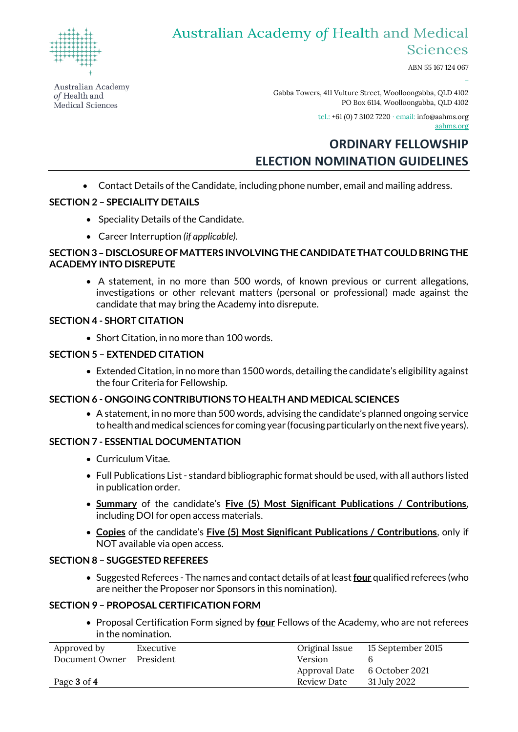

ABN 55 167 124 067

Australian Academy of Health and Medical Sciences

Gabba Towers, 411 Vulture Street, Woolloongabba, QLD 4102 PO Box 6114, Woolloongabba, QLD 4102

tel.: +61 (0) 7 3102 7220 · email[: info@aahms.org](mailto:info@aahms.org)

aahms.org

−

## **ORDINARY FELLOWSHIP ELECTION NOMINATION GUIDELINES**

• Contact Details of the Candidate, including phone number, email and mailing address.

### **SECTION 2 – SPECIALITY DETAILS**

- Speciality Details of the Candidate.
- Career Interruption *(if applicable).*

### **SECTION 3 –DISCLOSURE OF MATTERS INVOLVING THE CANDIDATE THAT COULD BRING THE ACADEMY INTO DISREPUTE**

• A statement, in no more than 500 words, of known previous or current allegations, investigations or other relevant matters (personal or professional) made against the candidate that may bring the Academy into disrepute.

### **SECTION 4 - SHORT CITATION**

• Short Citation, in no more than 100 words.

### **SECTION 5 – EXTENDED CITATION**

• Extended Citation, in no more than 1500 words, detailing the candidate's eligibility against the four Criteria for Fellowship.

## **SECTION 6 - ONGOING CONTRIBUTIONS TO HEALTH AND MEDICAL SCIENCES**

• A statement, in no more than 500 words, advising the candidate's planned ongoing service to health and medical sciences for coming year (focusing particularly on the next five years).

## **SECTION 7 - ESSENTIAL DOCUMENTATION**

- Curriculum Vitae.
- Full Publications List standard bibliographic format should be used, with all authors listed in publication order.
- **Summary** of the candidate's **Five (5) Most Significant Publications / Contributions**, including DOI for open access materials.
- **Copies** of the candidate's **Five (5) Most Significant Publications / Contributions**, only if NOT available via open access.

### **SECTION 8 – SUGGESTED REFEREES**

• Suggested Referees - The names and contact details of at least **four** qualified referees (who are neither the Proposer nor Sponsors in this nomination).

## **SECTION 9 – PROPOSAL CERTIFICATION FORM**

• Proposal Certification Form signed by **four** Fellows of the Academy, who are not referees in the nomination.

| Approved by    | Executive | Original Issue | 15 September 2015 |
|----------------|-----------|----------------|-------------------|
| Document Owner | President | Version        |                   |
|                |           | Approval Date  | 6 October 2021    |
| Page 3 of 4    |           | Review Date    | 31 July 2022      |